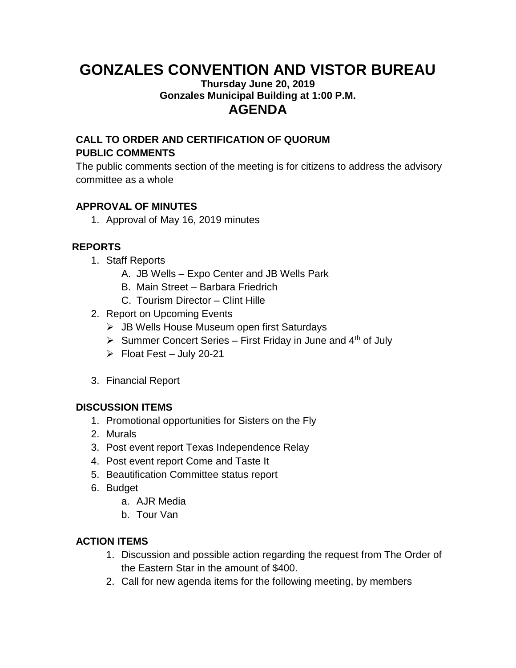# **GONZALES CONVENTION AND VISTOR BUREAU**

#### **Thursday June 20, 2019 Gonzales Municipal Building at 1:00 P.M. AGENDA**

# **CALL TO ORDER AND CERTIFICATION OF QUORUM PUBLIC COMMENTS**

The public comments section of the meeting is for citizens to address the advisory committee as a whole

## **APPROVAL OF MINUTES**

1. Approval of May 16, 2019 minutes

# **REPORTS**

- 1. Staff Reports
	- A. JB Wells Expo Center and JB Wells Park
	- B. Main Street Barbara Friedrich
	- C. Tourism Director Clint Hille
- 2. Report on Upcoming Events
	- ➢ JB Wells House Museum open first Saturdays
	- $\triangleright$  Summer Concert Series First Friday in June and 4<sup>th</sup> of July
	- $\triangleright$  Float Fest July 20-21
- 3. Financial Report

### **DISCUSSION ITEMS**

- 1. Promotional opportunities for Sisters on the Fly
- 2. Murals
- 3. Post event report Texas Independence Relay
- 4. Post event report Come and Taste It
- 5. Beautification Committee status report
- 6. Budget
	- a. AJR Media
	- b. Tour Van

### **ACTION ITEMS**

- 1. Discussion and possible action regarding the request from The Order of the Eastern Star in the amount of \$400.
- 2. Call for new agenda items for the following meeting, by members